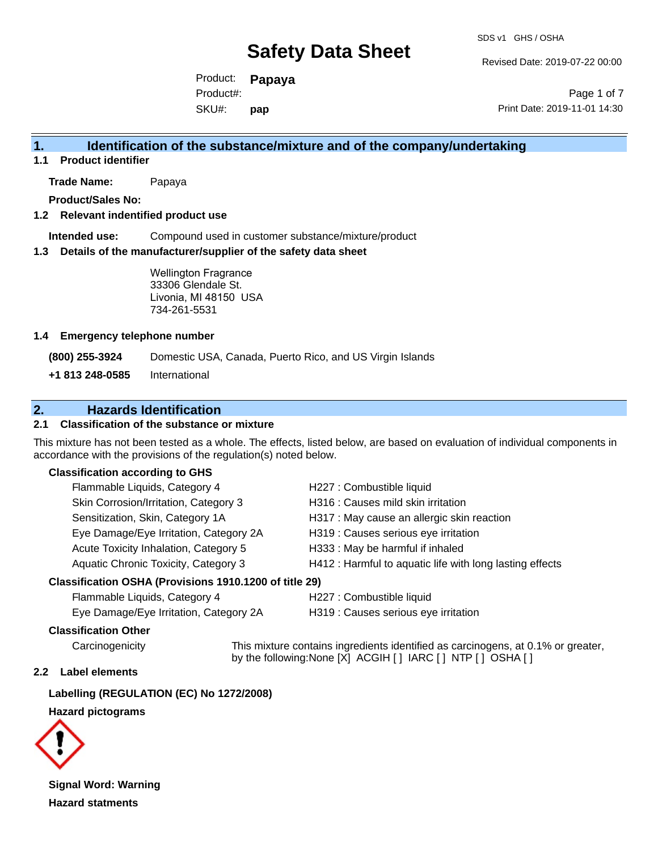Revised Date: 2019-07-22 00:00

Product: **Papaya** SKU#: Product#: **pap**

Page 1 of 7 Print Date: 2019-11-01 14:30

## **1. Identification of the substance/mixture and of the company/undertaking**

**1.1 Product identifier**

**Trade Name:** Papaya

**Product/Sales No:**

#### **1.2 Relevant indentified product use**

**Intended use:** Compound used in customer substance/mixture/product

#### **1.3 Details of the manufacturer/supplier of the safety data sheet**

Wellington Fragrance 33306 Glendale St. Livonia, MI 48150 USA 734-261-5531

#### **1.4 Emergency telephone number**

**(800) 255-3924** Domestic USA, Canada, Puerto Rico, and US Virgin Islands

**+1 813 248-0585** International

# **2. Hazards Identification**

### **2.1 Classification of the substance or mixture**

This mixture has not been tested as a whole. The effects, listed below, are based on evaluation of individual components in accordance with the provisions of the regulation(s) noted below.

#### **Classification according to GHS**

| Classification OSHA (Provisions 1910.1200 of title 29) |                                                          |
|--------------------------------------------------------|----------------------------------------------------------|
| Aquatic Chronic Toxicity, Category 3                   | H412 : Harmful to aquatic life with long lasting effects |
| Acute Toxicity Inhalation, Category 5                  | H333: May be harmful if inhaled                          |
| Eye Damage/Eye Irritation, Category 2A                 | H319 : Causes serious eye irritation                     |
| Sensitization, Skin, Category 1A                       | H317 : May cause an allergic skin reaction               |
| Skin Corrosion/Irritation, Category 3                  | H316 : Causes mild skin irritation                       |
| Flammable Liquids, Category 4                          | H227 : Combustible liquid                                |

Flammable Liquids, Category 4 H227 : Combustible liquid Eye Damage/Eye Irritation, Category 2A H319 : Causes serious eye irritation

#### **Classification Other**

Carcinogenicity This mixture contains ingredients identified as carcinogens, at 0.1% or greater, by the following:None [X] ACGIH [ ] IARC [ ] NTP [ ] OSHA [ ]

#### **2.2 Label elements**

**Labelling (REGULATION (EC) No 1272/2008)**

#### **Hazard pictograms**



**Signal Word: Warning Hazard statments**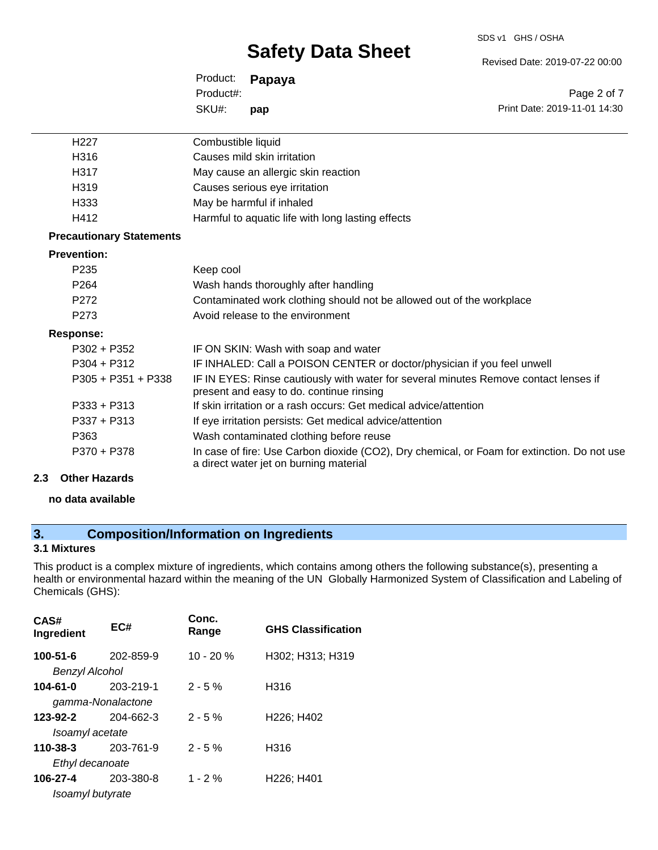SDS v1 GHS / OSHA

Revised Date: 2019-07-22 00:00

|           | Product: <b>Papaya</b> |                              |
|-----------|------------------------|------------------------------|
| Product#: |                        | Page 2 of 7                  |
| SKU#:     | pap                    | Print Date: 2019-11-01 14:30 |

| H <sub>227</sub>                | Combustible liquid                                                                                                                    |
|---------------------------------|---------------------------------------------------------------------------------------------------------------------------------------|
| H316                            | Causes mild skin irritation                                                                                                           |
| H317                            | May cause an allergic skin reaction                                                                                                   |
| H319                            | Causes serious eye irritation                                                                                                         |
| H333                            | May be harmful if inhaled                                                                                                             |
| H412                            | Harmful to aquatic life with long lasting effects                                                                                     |
| <b>Precautionary Statements</b> |                                                                                                                                       |
| <b>Prevention:</b>              |                                                                                                                                       |
| P <sub>235</sub>                | Keep cool                                                                                                                             |
| P <sub>264</sub>                | Wash hands thoroughly after handling                                                                                                  |
| P <sub>272</sub>                | Contaminated work clothing should not be allowed out of the workplace                                                                 |
| P273                            | Avoid release to the environment                                                                                                      |
| <b>Response:</b>                |                                                                                                                                       |
| $P302 + P352$                   | IF ON SKIN: Wash with soap and water                                                                                                  |
| $P304 + P312$                   | IF INHALED: Call a POISON CENTER or doctor/physician if you feel unwell                                                               |
| $P305 + P351 + P338$            | IF IN EYES: Rinse cautiously with water for several minutes Remove contact lenses if<br>present and easy to do. continue rinsing      |
| $P333 + P313$                   | If skin irritation or a rash occurs: Get medical advice/attention                                                                     |
| P337 + P313                     | If eye irritation persists: Get medical advice/attention                                                                              |
| P363                            | Wash contaminated clothing before reuse                                                                                               |
| P370 + P378                     | In case of fire: Use Carbon dioxide (CO2), Dry chemical, or Foam for extinction. Do not use<br>a direct water jet on burning material |
| Athen Hamanda                   |                                                                                                                                       |

### **2.3 Other Hazards**

#### **no data available**

# **3. Composition/Information on Ingredients**

#### **3.1 Mixtures**

This product is a complex mixture of ingredients, which contains among others the following substance(s), presenting a health or environmental hazard within the meaning of the UN Globally Harmonized System of Classification and Labeling of Chemicals (GHS):

| CAS#<br>Ingredient                  | EC#       | Conc.<br>Range | <b>GHS Classification</b>           |
|-------------------------------------|-----------|----------------|-------------------------------------|
| $100 - 51 - 6$<br>Benzyl Alcohol    | 202-859-9 | $10 - 20 %$    | H302; H313; H319                    |
| $104 - 61 - 0$<br>gamma-Nonalactone | 203-219-1 | $2 - 5%$       | H316                                |
| 123-92-2<br>Isoamyl acetate         | 204-662-3 | $2 - 5%$       | H226; H402                          |
| 110-38-3<br>Ethyl decanoate         | 203-761-9 | $2 - 5%$       | H316                                |
| 106-27-4<br>Isoamyl butyrate        | 203-380-8 | $1 - 2%$       | H <sub>226</sub> ; H <sub>401</sub> |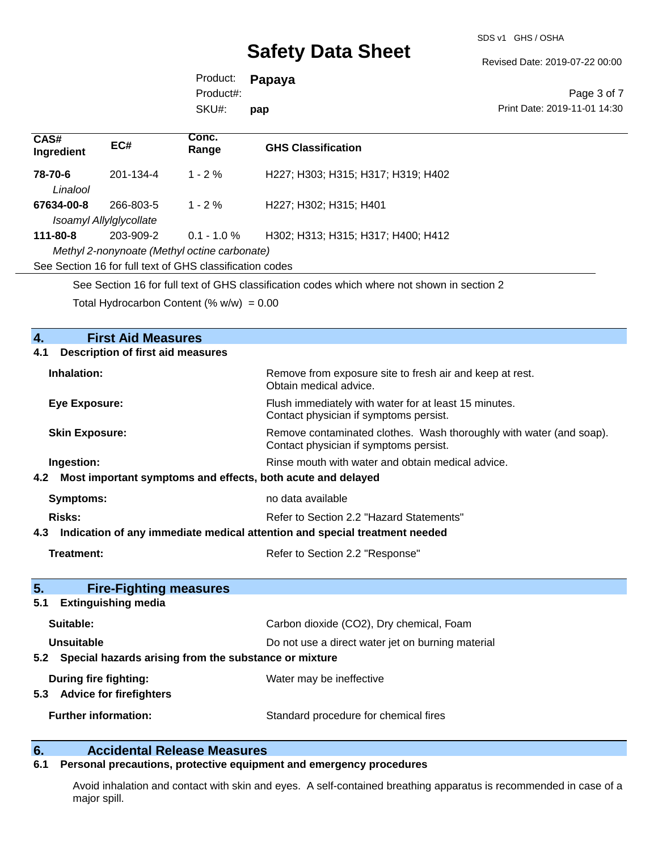SDS v1 GHS / OSHA

Revised Date: 2019-07-22 00:00

Page 3 of 7

Product: **Papaya** SKU#: Product#: **pap**

|                     |                                      | SKU#:                                                          | pap                                                                                         | Print Date: 2019-11-01 14:30 |
|---------------------|--------------------------------------|----------------------------------------------------------------|---------------------------------------------------------------------------------------------|------------------------------|
| CAS#<br>Ingredient  | EC#                                  | Conc.<br>Range                                                 | <b>GHS Classification</b>                                                                   |                              |
| 78-70-6<br>Linalool | 201-134-4                            | $1 - 2\%$                                                      | H227; H303; H315; H317; H319; H402                                                          |                              |
| 67634-00-8          | 266-803-5<br>Isoamyl Allylglycollate | $1 - 2\%$                                                      | H227; H302; H315; H401                                                                      |                              |
| 111-80-8            | 203-909-2                            | $0.1 - 1.0 \%$<br>Methyl 2-nonynoate (Methyl octine carbonate) | H302; H313; H315; H317; H400; H412                                                          |                              |
|                     |                                      | See Section 16 for full text of GHS classification codes       |                                                                                             |                              |
|                     |                                      |                                                                | See Section 16 for full text of GHS classification codes which where not shown in section 2 |                              |
|                     |                                      | Total Hydrocarbon Content $(\% w/w) = 0.00$                    |                                                                                             |                              |

| $\overline{4}$ .<br><b>First Aid Measures</b>                                  |                                                                                                               |
|--------------------------------------------------------------------------------|---------------------------------------------------------------------------------------------------------------|
| <b>Description of first aid measures</b><br>4.1                                |                                                                                                               |
| Inhalation:                                                                    | Remove from exposure site to fresh air and keep at rest.<br>Obtain medical advice.                            |
| <b>Eye Exposure:</b>                                                           | Flush immediately with water for at least 15 minutes.<br>Contact physician if symptoms persist.               |
| <b>Skin Exposure:</b>                                                          | Remove contaminated clothes. Wash thoroughly with water (and soap).<br>Contact physician if symptoms persist. |
| Ingestion:                                                                     | Rinse mouth with water and obtain medical advice.                                                             |
| 4.2 Most important symptoms and effects, both acute and delayed                |                                                                                                               |
| <b>Symptoms:</b>                                                               | no data available                                                                                             |
| <b>Risks:</b>                                                                  | Refer to Section 2.2 "Hazard Statements"                                                                      |
| 4.3 Indication of any immediate medical attention and special treatment needed |                                                                                                               |
| Treatment:                                                                     | Refer to Section 2.2 "Response"                                                                               |
| 5 <sub>1</sub><br><b>Fire-Fighting measures</b>                                |                                                                                                               |
| <b>Extinguishing media</b><br>5.1                                              |                                                                                                               |
| Suitable:                                                                      | Carbon dioxide (CO2), Dry chemical, Foam                                                                      |
| <b>Unsuitable</b>                                                              | Do not use a direct water jet on burning material                                                             |
| Special hazards arising from the substance or mixture<br>5.2                   |                                                                                                               |
| During fire fighting:                                                          | Water may be ineffective                                                                                      |
| 5.3 Advice for firefighters                                                    |                                                                                                               |
| <b>Further information:</b>                                                    | Standard procedure for chemical fires                                                                         |
|                                                                                |                                                                                                               |

### **6. Accidental Release Measures**

#### **6.1 Personal precautions, protective equipment and emergency procedures**

Avoid inhalation and contact with skin and eyes. A self-contained breathing apparatus is recommended in case of a major spill.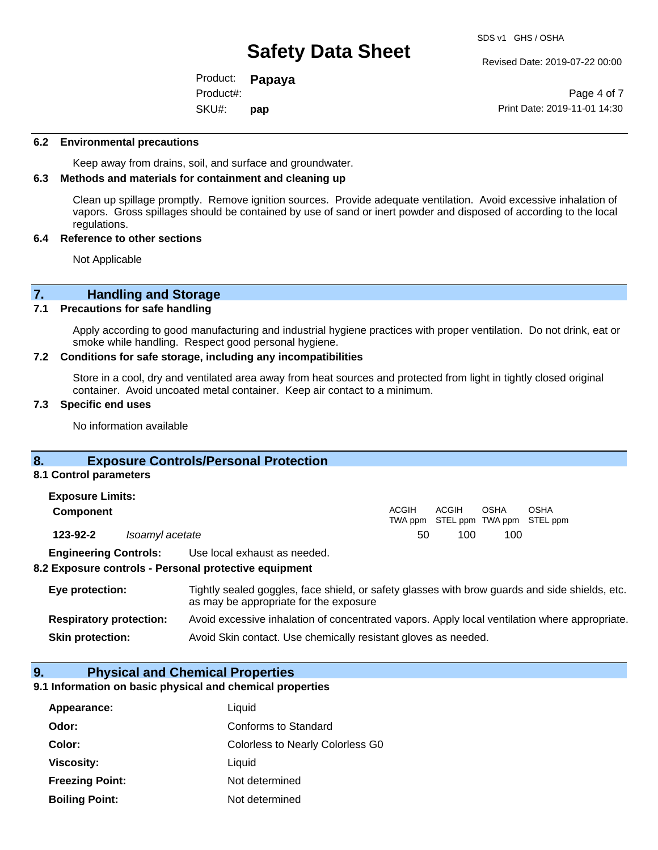Revised Date: 2019-07-22 00:00

Product: **Papaya** SKU#: Product#: **pap**

Page 4 of 7 Print Date: 2019-11-01 14:30

#### **6.2 Environmental precautions**

Keep away from drains, soil, and surface and groundwater.

#### **6.3 Methods and materials for containment and cleaning up**

Clean up spillage promptly. Remove ignition sources. Provide adequate ventilation. Avoid excessive inhalation of vapors. Gross spillages should be contained by use of sand or inert powder and disposed of according to the local regulations.

#### **6.4 Reference to other sections**

Not Applicable

# **7. Handling and Storage**<br>**7.1** Precautions for safe handling

#### **7.1 Precautions for safe handling**

Apply according to good manufacturing and industrial hygiene practices with proper ventilation. Do not drink, eat or smoke while handling. Respect good personal hygiene.

#### **7.2 Conditions for safe storage, including any incompatibilities**

Store in a cool, dry and ventilated area away from heat sources and protected from light in tightly closed original container. Avoid uncoated metal container. Keep air contact to a minimum.

#### **7.3 Specific end uses**

No information available

### **8. Exposure Controls/Personal Protection**

#### **8.1 Control parameters**

| <b>Exposure Limits:</b>      |                 |                              |       |       |      |                                           |
|------------------------------|-----------------|------------------------------|-------|-------|------|-------------------------------------------|
| <b>Component</b>             |                 |                              | ACGIH | ACGIH | OSHA | OSHA<br>TWA ppm STEL ppm TWA ppm STEL ppm |
| 123-92-2                     | Isoamyl acetate |                              | 50    | 100   | 100  |                                           |
| <b>Engineering Controls:</b> |                 | Use local exhaust as needed. |       |       |      |                                           |

#### **8.2 Exposure controls - Personal protective equipment**

| Eye protection:                | Tightly sealed goggles, face shield, or safety glasses with brow guards and side shields, etc.<br>as may be appropriate for the exposure |
|--------------------------------|------------------------------------------------------------------------------------------------------------------------------------------|
| <b>Respiratory protection:</b> | Avoid excessive inhalation of concentrated vapors. Apply local ventilation where appropriate.                                            |
| <b>Skin protection:</b>        | Avoid Skin contact. Use chemically resistant gloves as needed.                                                                           |

#### **9. Physical and Chemical Properties**

#### **9.1 Information on basic physical and chemical properties**

| Appearance:            | Liquid                                  |
|------------------------|-----------------------------------------|
| Odor:                  | Conforms to Standard                    |
| Color:                 | <b>Colorless to Nearly Colorless G0</b> |
| <b>Viscosity:</b>      | Liquid                                  |
| <b>Freezing Point:</b> | Not determined                          |
| <b>Boiling Point:</b>  | Not determined                          |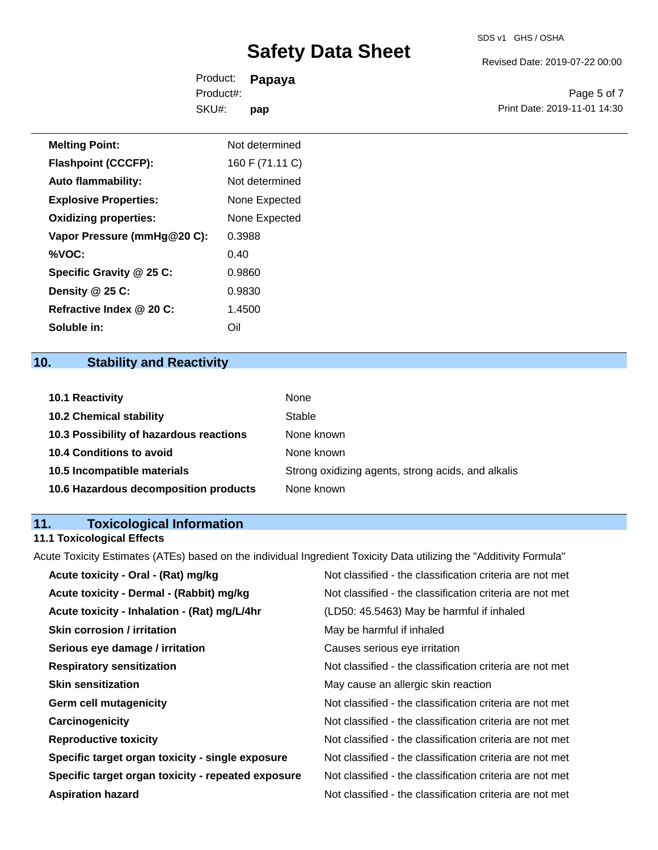Revised Date: 2019-07-22 00:00

Product: **Papaya** SKU#: Product#: **pap**

Page 5 of 7 Print Date: 2019-11-01 14:30

| <b>Melting Point:</b>        | Not determined  |
|------------------------------|-----------------|
| <b>Flashpoint (CCCFP):</b>   | 160 F (71.11 C) |
| <b>Auto flammability:</b>    | Not determined  |
| <b>Explosive Properties:</b> | None Expected   |
| <b>Oxidizing properties:</b> | None Expected   |
| Vapor Pressure (mmHg@20 C):  | 0.3988          |
| %VOC:                        | 0.40            |
| Specific Gravity @ 25 C:     | 0.9860          |
| Density @ 25 C:              | 0.9830          |
| Refractive Index @ 20 C:     | 1.4500          |

# **10. Stability and Reactivity**

**Soluble in:** Oil

| 10.1 Reactivity                         | None                                               |
|-----------------------------------------|----------------------------------------------------|
| <b>10.2 Chemical stability</b>          | Stable                                             |
| 10.3 Possibility of hazardous reactions | None known                                         |
| <b>10.4 Conditions to avoid</b>         | None known                                         |
| 10.5 Incompatible materials             | Strong oxidizing agents, strong acids, and alkalis |
| 10.6 Hazardous decomposition products   | None known                                         |

# **11. Toxicological Information**

# **11.1 Toxicological Effects**

Acute Toxicity Estimates (ATEs) based on the individual Ingredient Toxicity Data utilizing the "Additivity Formula"

| Not classified - the classification criteria are not met |
|----------------------------------------------------------|
| Not classified - the classification criteria are not met |
| (LD50: 45.5463) May be harmful if inhaled                |
| May be harmful if inhaled                                |
| Causes serious eye irritation                            |
| Not classified - the classification criteria are not met |
| May cause an allergic skin reaction                      |
| Not classified - the classification criteria are not met |
| Not classified - the classification criteria are not met |
| Not classified - the classification criteria are not met |
| Not classified - the classification criteria are not met |
| Not classified - the classification criteria are not met |
| Not classified - the classification criteria are not met |
|                                                          |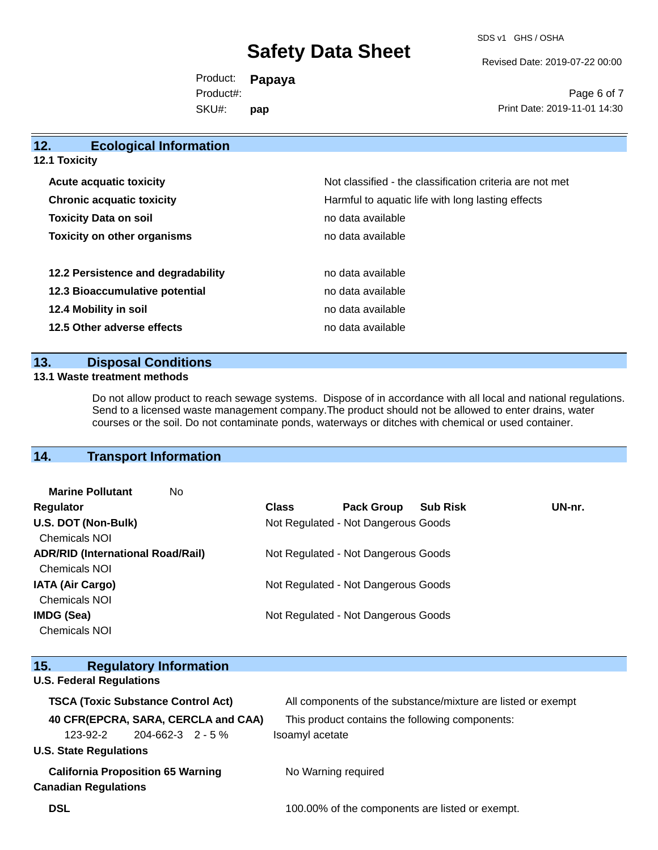SDS v1 GHS / OSHA

Revised Date: 2019-07-22 00:00

Product: **Papaya** SKU#: Product#: **pap**

Page 6 of 7 Print Date: 2019-11-01 14:30

| 12.<br><b>Ecological Information</b> |                                                          |
|--------------------------------------|----------------------------------------------------------|
| <b>12.1 Toxicity</b>                 |                                                          |
| <b>Acute acquatic toxicity</b>       | Not classified - the classification criteria are not met |
| <b>Chronic acquatic toxicity</b>     | Harmful to aquatic life with long lasting effects        |
| <b>Toxicity Data on soil</b>         | no data available                                        |
| <b>Toxicity on other organisms</b>   | no data available                                        |
| 12.2 Persistence and degradability   | no data available                                        |
| 12.3 Bioaccumulative potential       | no data available                                        |
| 12.4 Mobility in soil                | no data available                                        |
| 12.5 Other adverse effects           | no data available                                        |
|                                      |                                                          |

### **13. Disposal Conditions**

#### **13.1 Waste treatment methods**

Do not allow product to reach sewage systems. Dispose of in accordance with all local and national regulations. Send to a licensed waste management company.The product should not be allowed to enter drains, water courses or the soil. Do not contaminate ponds, waterways or ditches with chemical or used container.

## **14. Transport Information**

| <b>Class</b>                             | <b>Pack Group</b>                   | <b>Sub Risk</b> | UN-nr.                                                                                                            |
|------------------------------------------|-------------------------------------|-----------------|-------------------------------------------------------------------------------------------------------------------|
|                                          |                                     |                 |                                                                                                                   |
|                                          |                                     |                 |                                                                                                                   |
| <b>ADR/RID (International Road/Rail)</b> | Not Regulated - Not Dangerous Goods |                 |                                                                                                                   |
|                                          |                                     |                 |                                                                                                                   |
|                                          |                                     |                 |                                                                                                                   |
|                                          |                                     |                 |                                                                                                                   |
|                                          |                                     |                 |                                                                                                                   |
|                                          |                                     |                 |                                                                                                                   |
|                                          |                                     |                 | Not Regulated - Not Dangerous Goods<br>Not Regulated - Not Dangerous Goods<br>Not Regulated - Not Dangerous Goods |

| 15.                                       |                                          | <b>Regulatory Information</b> |                                     |                                                              |  |  |  |
|-------------------------------------------|------------------------------------------|-------------------------------|-------------------------------------|--------------------------------------------------------------|--|--|--|
| <b>U.S. Federal Regulations</b>           |                                          |                               |                                     |                                                              |  |  |  |
| <b>TSCA (Toxic Substance Control Act)</b> |                                          |                               |                                     | All components of the substance/mixture are listed or exempt |  |  |  |
|                                           |                                          |                               | 40 CFR(EPCRA, SARA, CERCLA and CAA) | This product contains the following components:              |  |  |  |
|                                           | 123-92-2                                 | 204-662-3 2 - 5 %             |                                     | Isoamyl acetate                                              |  |  |  |
|                                           | <b>U.S. State Regulations</b>            |                               |                                     |                                                              |  |  |  |
|                                           | <b>California Proposition 65 Warning</b> |                               |                                     | No Warning required                                          |  |  |  |
|                                           | <b>Canadian Regulations</b>              |                               |                                     |                                                              |  |  |  |
| <b>DSL</b>                                |                                          |                               |                                     | 100.00% of the components are listed or exempt.              |  |  |  |